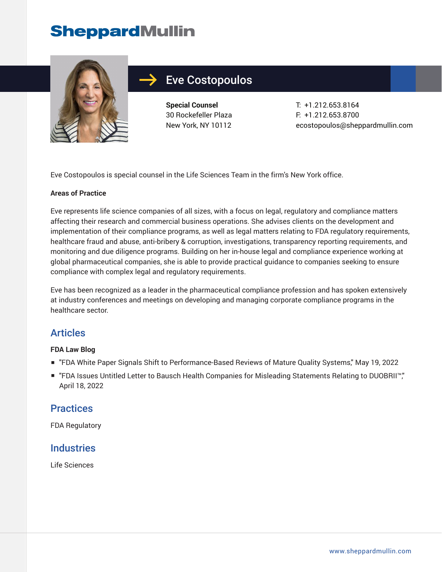# **SheppardMullin**



## Eve Costopoulos

**Special Counsel** 30 Rockefeller Plaza New York, NY 10112 T: +1.212.653.8164 F: +1.212.653.8700 ecostopoulos@sheppardmullin.com

Eve Costopoulos is special counsel in the Life Sciences Team in the firm's New York office.

#### **Areas of Practice**

Eve represents life science companies of all sizes, with a focus on legal, regulatory and compliance matters affecting their research and commercial business operations. She advises clients on the development and implementation of their compliance programs, as well as legal matters relating to FDA regulatory requirements, healthcare fraud and abuse, anti-bribery & corruption, investigations, transparency reporting requirements, and monitoring and due diligence programs. Building on her in-house legal and compliance experience working at global pharmaceutical companies, she is able to provide practical guidance to companies seeking to ensure compliance with complex legal and regulatory requirements.

Eve has been recognized as a leader in the pharmaceutical compliance profession and has spoken extensively at industry conferences and meetings on developing and managing corporate compliance programs in the healthcare sector.

#### Articles

#### **FDA Law Blog**

- "FDA White Paper Signals Shift to Performance-Based Reviews of Mature Quality Systems," May 19, 2022
- "FDA Issues Untitled Letter to Bausch Health Companies for Misleading Statements Relating to DUOBRII™," April 18, 2022

### **Practices**

FDA Regulatory

### **Industries**

Life Sciences